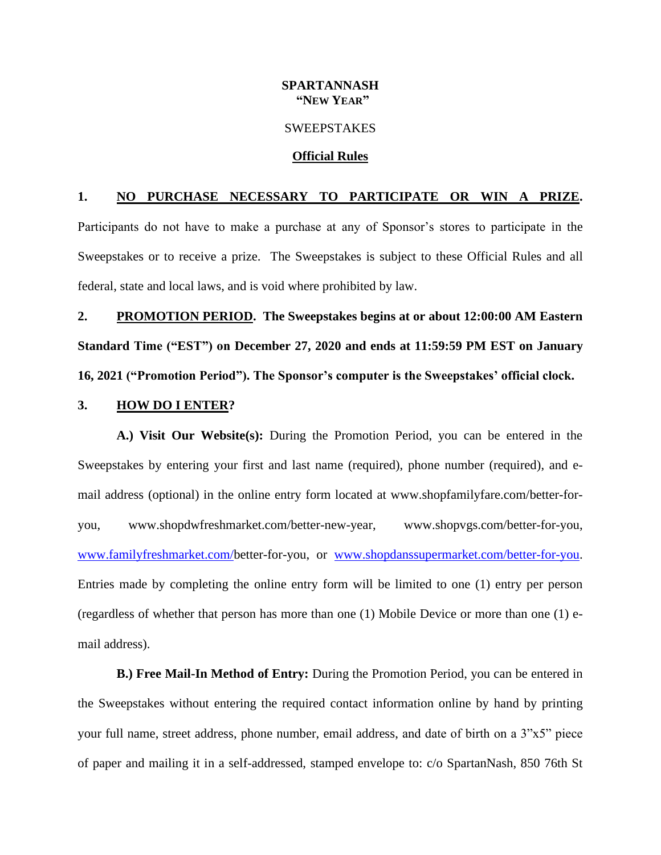## **SPARTANNASH "NEW YEAR"**

#### **SWEEPSTAKES**

#### **Official Rules**

# **1. NO PURCHASE NECESSARY TO PARTICIPATE OR WIN A PRIZE.**

Participants do not have to make a purchase at any of Sponsor's stores to participate in the Sweepstakes or to receive a prize. The Sweepstakes is subject to these Official Rules and all federal, state and local laws, and is void where prohibited by law.

**2. PROMOTION PERIOD. The Sweepstakes begins at or about 12:00:00 AM Eastern Standard Time ("EST") on December 27, 2020 and ends at 11:59:59 PM EST on January 16, 2021 ("Promotion Period"). The Sponsor's computer is the Sweepstakes' official clock.**

#### **3. HOW DO I ENTER?**

**A.) Visit Our Website(s):** During the Promotion Period, you can be entered in the Sweepstakes by entering your first and last name (required), phone number (required), and email address (optional) in the online entry form located at [www.shopfamilyfare.com/b](http://www.shopfamilyfare.com/)etter-foryou, www.shopdwfreshmarket.com/better-new-year, www.shopvgs.com/better-for-you, [www.familyfreshmarket.com/b](http://www.familyfreshmarket.com/)etter-for-you, or [www.shopdanssupermarket.com/better-for-you.](http://www.shopdanssupermarket.com/better-for-you) Entries made by completing the online entry form will be limited to one (1) entry per person (regardless of whether that person has more than one (1) Mobile Device or more than one (1) email address).

**B.) Free Mail-In Method of Entry:** During the Promotion Period, you can be entered in the Sweepstakes without entering the required contact information online by hand by printing your full name, street address, phone number, email address, and date of birth on a 3"x5" piece of paper and mailing it in a self-addressed, stamped envelope to: c/o SpartanNash, 850 76th St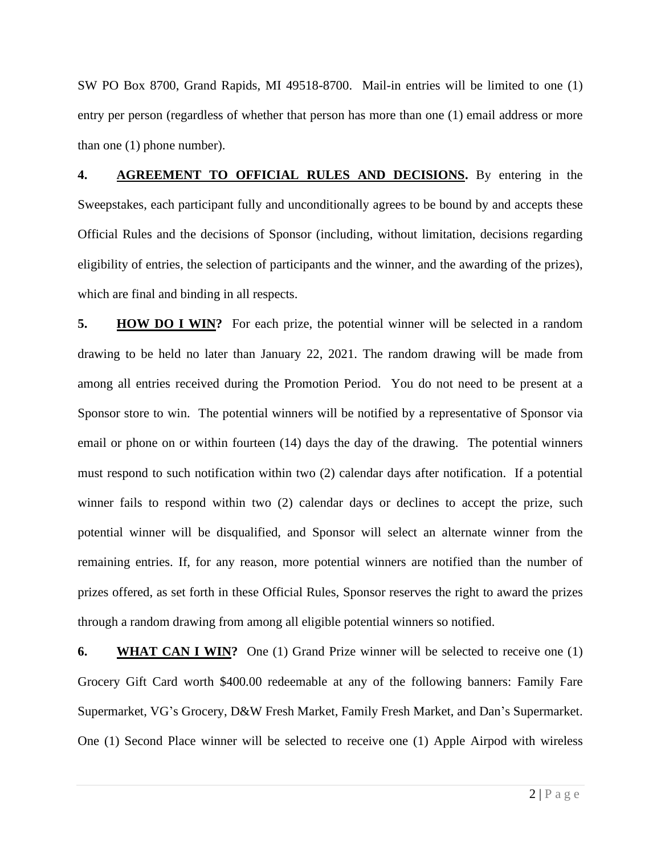SW PO Box 8700, Grand Rapids, MI 49518-8700. Mail-in entries will be limited to one (1) entry per person (regardless of whether that person has more than one (1) email address or more than one (1) phone number).

**4. AGREEMENT TO OFFICIAL RULES AND DECISIONS.** By entering in the Sweepstakes, each participant fully and unconditionally agrees to be bound by and accepts these Official Rules and the decisions of Sponsor (including, without limitation, decisions regarding eligibility of entries, the selection of participants and the winner, and the awarding of the prizes), which are final and binding in all respects.

**5. HOW DO I WIN?** For each prize, the potential winner will be selected in a random drawing to be held no later than January 22, 2021. The random drawing will be made from among all entries received during the Promotion Period. You do not need to be present at a Sponsor store to win. The potential winners will be notified by a representative of Sponsor via email or phone on or within fourteen (14) days the day of the drawing. The potential winners must respond to such notification within two (2) calendar days after notification. If a potential winner fails to respond within two (2) calendar days or declines to accept the prize, such potential winner will be disqualified, and Sponsor will select an alternate winner from the remaining entries. If, for any reason, more potential winners are notified than the number of prizes offered, as set forth in these Official Rules, Sponsor reserves the right to award the prizes through a random drawing from among all eligible potential winners so notified.

**6. WHAT CAN I WIN?** One (1) Grand Prize winner will be selected to receive one (1) Grocery Gift Card worth \$400.00 redeemable at any of the following banners: Family Fare Supermarket, VG's Grocery, D&W Fresh Market, Family Fresh Market, and Dan's Supermarket. One (1) Second Place winner will be selected to receive one (1) Apple Airpod with wireless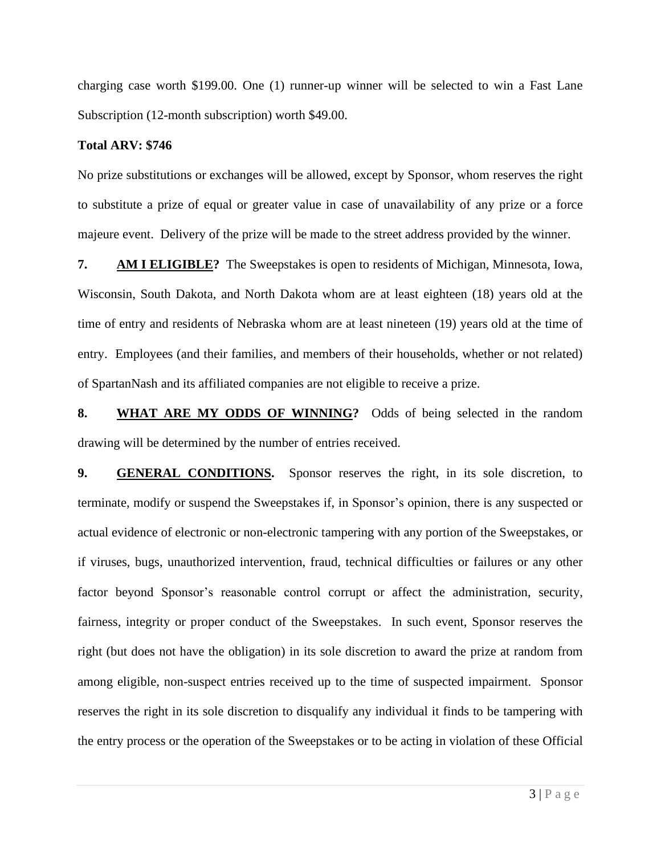charging case worth \$199.00. One (1) runner-up winner will be selected to win a Fast Lane Subscription (12-month subscription) worth \$49.00.

## **Total ARV: \$746**

No prize substitutions or exchanges will be allowed, except by Sponsor, whom reserves the right to substitute a prize of equal or greater value in case of unavailability of any prize or a force majeure event. Delivery of the prize will be made to the street address provided by the winner.

**7. AM I ELIGIBLE?** The Sweepstakes is open to residents of Michigan, Minnesota, Iowa, Wisconsin, South Dakota, and North Dakota whom are at least eighteen (18) years old at the time of entry and residents of Nebraska whom are at least nineteen (19) years old at the time of entry. Employees (and their families, and members of their households, whether or not related) of SpartanNash and its affiliated companies are not eligible to receive a prize.

**8. WHAT ARE MY ODDS OF WINNING?** Odds of being selected in the random drawing will be determined by the number of entries received.

**9. GENERAL CONDITIONS.** Sponsor reserves the right, in its sole discretion, to terminate, modify or suspend the Sweepstakes if, in Sponsor's opinion, there is any suspected or actual evidence of electronic or non-electronic tampering with any portion of the Sweepstakes, or if viruses, bugs, unauthorized intervention, fraud, technical difficulties or failures or any other factor beyond Sponsor's reasonable control corrupt or affect the administration, security, fairness, integrity or proper conduct of the Sweepstakes. In such event, Sponsor reserves the right (but does not have the obligation) in its sole discretion to award the prize at random from among eligible, non-suspect entries received up to the time of suspected impairment. Sponsor reserves the right in its sole discretion to disqualify any individual it finds to be tampering with the entry process or the operation of the Sweepstakes or to be acting in violation of these Official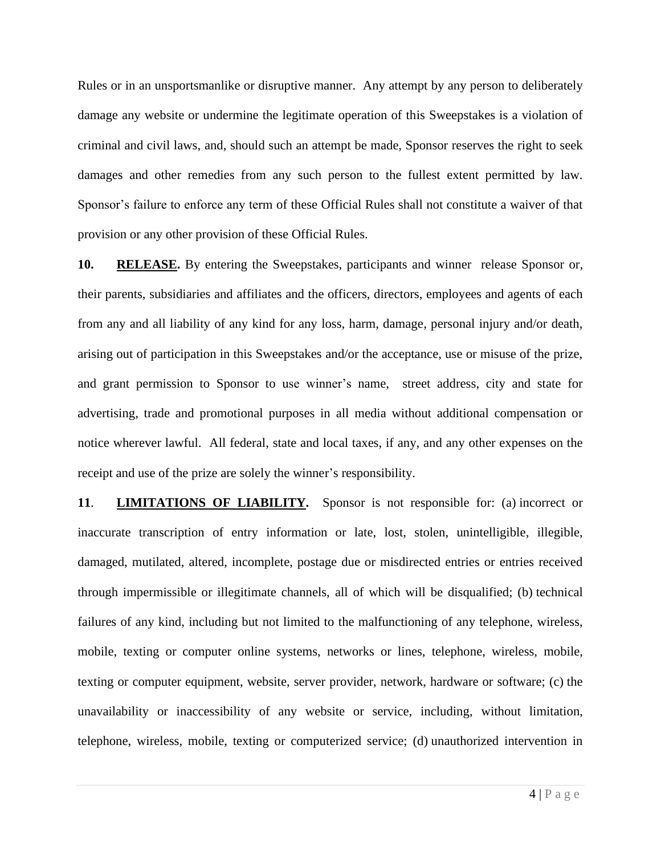Rules or in an unsportsmanlike or disruptive manner. Any attempt by any person to deliberately damage any website or undermine the legitimate operation of this Sweepstakes is a violation of criminal and civil laws, and, should such an attempt be made, Sponsor reserves the right to seek damages and other remedies from any such person to the fullest extent permitted by law. Sponsor's failure to enforce any term of these Official Rules shall not constitute a waiver of that provision or any other provision of these Official Rules.

**10. RELEASE.** By entering the Sweepstakes, participants and winner release Sponsor or, their parents, subsidiaries and affiliates and the officers, directors, employees and agents of each from any and all liability of any kind for any loss, harm, damage, personal injury and/or death, arising out of participation in this Sweepstakes and/or the acceptance, use or misuse of the prize, and grant permission to Sponsor to use winner's name, street address, city and state for advertising, trade and promotional purposes in all media without additional compensation or notice wherever lawful. All federal, state and local taxes, if any, and any other expenses on the receipt and use of the prize are solely the winner's responsibility.

**11**. **LIMITATIONS OF LIABILITY.** Sponsor is not responsible for: (a) incorrect or inaccurate transcription of entry information or late, lost, stolen, unintelligible, illegible, damaged, mutilated, altered, incomplete, postage due or misdirected entries or entries received through impermissible or illegitimate channels, all of which will be disqualified; (b) technical failures of any kind, including but not limited to the malfunctioning of any telephone, wireless, mobile, texting or computer online systems, networks or lines, telephone, wireless, mobile, texting or computer equipment, website, server provider, network, hardware or software; (c) the unavailability or inaccessibility of any website or service, including, without limitation, telephone, wireless, mobile, texting or computerized service; (d) unauthorized intervention in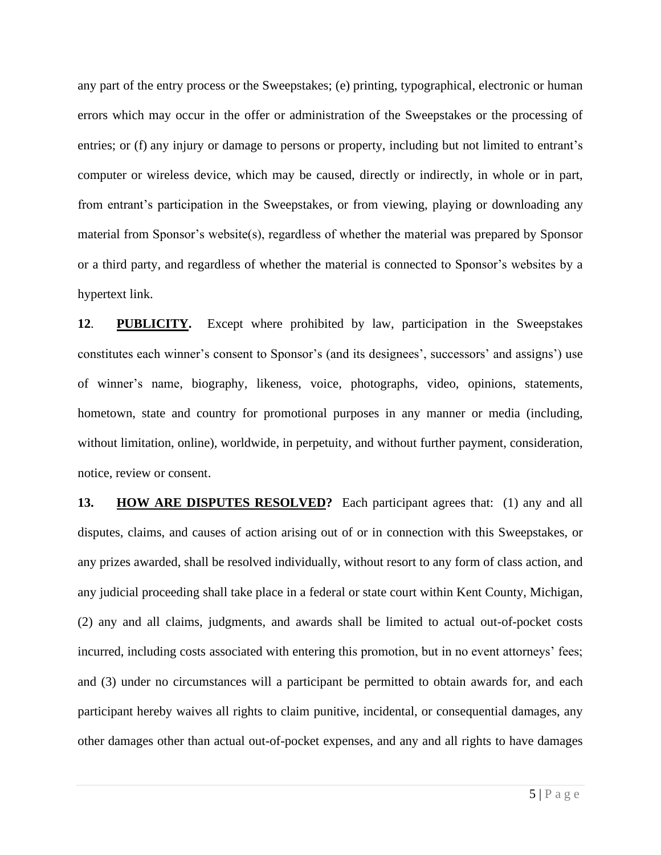any part of the entry process or the Sweepstakes; (e) printing, typographical, electronic or human errors which may occur in the offer or administration of the Sweepstakes or the processing of entries; or (f) any injury or damage to persons or property, including but not limited to entrant's computer or wireless device, which may be caused, directly or indirectly, in whole or in part, from entrant's participation in the Sweepstakes, or from viewing, playing or downloading any material from Sponsor's website(s), regardless of whether the material was prepared by Sponsor or a third party, and regardless of whether the material is connected to Sponsor's websites by a hypertext link.

**12**. **PUBLICITY.** Except where prohibited by law, participation in the Sweepstakes constitutes each winner's consent to Sponsor's (and its designees', successors' and assigns') use of winner's name, biography, likeness, voice, photographs, video, opinions, statements, hometown, state and country for promotional purposes in any manner or media (including, without limitation, online), worldwide, in perpetuity, and without further payment, consideration, notice, review or consent.

**13. HOW ARE DISPUTES RESOLVED?** Each participant agrees that: (1) any and all disputes, claims, and causes of action arising out of or in connection with this Sweepstakes, or any prizes awarded, shall be resolved individually, without resort to any form of class action, and any judicial proceeding shall take place in a federal or state court within Kent County, Michigan, (2) any and all claims, judgments, and awards shall be limited to actual out-of-pocket costs incurred, including costs associated with entering this promotion, but in no event attorneys' fees; and (3) under no circumstances will a participant be permitted to obtain awards for, and each participant hereby waives all rights to claim punitive, incidental, or consequential damages, any other damages other than actual out-of-pocket expenses, and any and all rights to have damages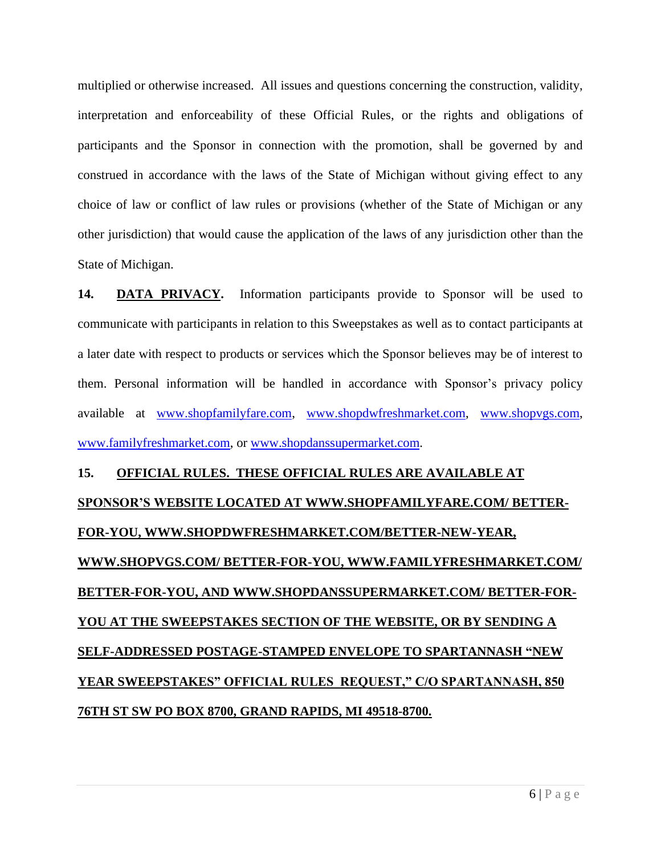multiplied or otherwise increased. All issues and questions concerning the construction, validity, interpretation and enforceability of these Official Rules, or the rights and obligations of participants and the Sponsor in connection with the promotion, shall be governed by and construed in accordance with the laws of the State of Michigan without giving effect to any choice of law or conflict of law rules or provisions (whether of the State of Michigan or any other jurisdiction) that would cause the application of the laws of any jurisdiction other than the State of Michigan.

**14. DATA PRIVACY.** Information participants provide to Sponsor will be used to communicate with participants in relation to this Sweepstakes as well as to contact participants at a later date with respect to products or services which the Sponsor believes may be of interest to them. Personal information will be handled in accordance with Sponsor's privacy policy available at [www.shopfamilyfare.com,](http://www.shopfamilyfare.com/) [www.shopdwfreshmarket.com,](http://www.shopdwfreshmarket.com/) [www.shopvgs.com,](http://www.shopvgs.com/) [www.familyfreshmarket.com,](http://www.familyfreshmarket.com/) or [www.shopdanssupermarket.com.](http://www.shopdanssupermarket.com/)

# **15. OFFICIAL RULES. THESE OFFICIAL RULES ARE AVAILABLE AT SPONSOR'S WEBSITE LOCATED AT [WWW.SHOPFAMILYFARE.COM/](http://www.shopfamilyfare.com/) BETTER-FOR-YOU, WWW.SHOPDWFRESHMARKET.COM/BETTER-NEW-YEAR, WWW.SHOPVGS.COM/ BETTER-FOR-YOU, [WWW.FAMILYFRESHMARKET.COM/](http://www.familyfreshmarket.com/) BETTER-FOR-YOU, AND [WWW.SHOPDANSSUPERMARKET.COM/](http://www.shopdanssupermarket.com/) BETTER-FOR-YOU AT THE SWEEPSTAKES SECTION OF THE WEBSITE, OR BY SENDING A SELF-ADDRESSED POSTAGE-STAMPED ENVELOPE TO SPARTANNASH "NEW YEAR SWEEPSTAKES" OFFICIAL RULES REQUEST," C/O SPARTANNASH, 850 76TH ST SW PO BOX 8700, GRAND RAPIDS, MI 49518-8700.**